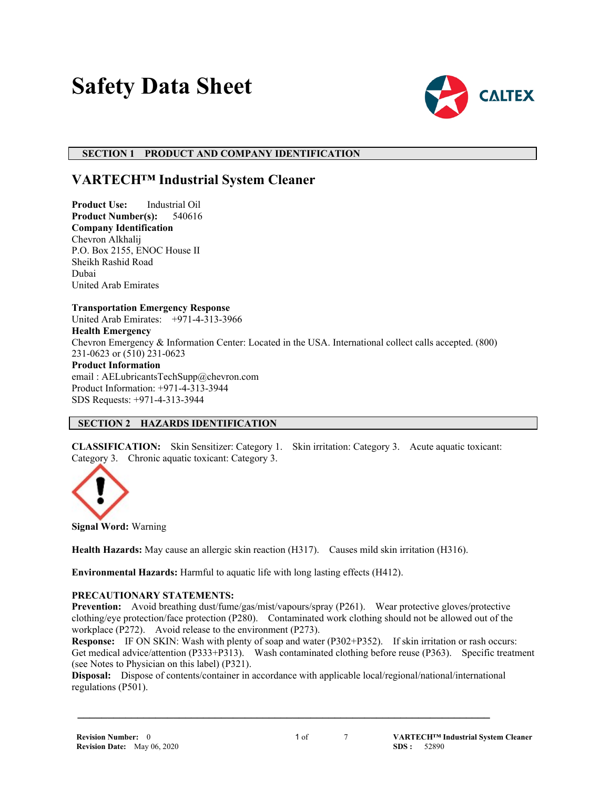# **Safety Data Sheet**



#### **SECTION 1 PRODUCT AND COMPANY IDENTIFICATION**

## **VARTECH™ Industrial System Cleaner**

**Product Use:** Industrial Oil **Product Number(s):** 540616 **Company Identification** Chevron Alkhalij P.O. Box 2155, ENOC House II Sheikh Rashid Road Dubai United Arab Emirates

#### **Transportation Emergency Response**

United Arab Emirates: +971-4-313-3966

**Health Emergency**

Chevron Emergency & Information Center: Located in the USA. International collect calls accepted. (800) 231-0623 or (510) 231-0623

#### **Product Information**

email : AELubricantsTechSupp@chevron.com Product Information: +971-4-313-3944 SDS Requests: +971-4-313-3944

#### **SECTION 2 HAZARDS IDENTIFICATION**

**CLASSIFICATION:** Skin Sensitizer: Category 1. Skin irritation: Category 3. Acute aquatic toxicant: Category 3. Chronic aquatic toxicant: Category 3.



**Signal Word:** Warning

**Health Hazards:** May cause an allergic skin reaction (H317). Causes mild skin irritation (H316).

**Environmental Hazards:** Harmful to aquatic life with long lasting effects (H412).

#### **PRECAUTIONARY STATEMENTS:**

**Prevention:** Avoid breathing dust/fume/gas/mist/vapours/spray (P261). Wear protective gloves/protective clothing/eye protection/face protection (P280). Contaminated work clothing should not be allowed out of the workplace (P272). Avoid release to the environment (P273).

**Response:** IF ON SKIN: Wash with plenty of soap and water (P302+P352). If skin irritation or rash occurs: Get medical advice/attention (P333+P313). Wash contaminated clothing before reuse (P363). Specific treatment (see Notes to Physician on this label) (P321).

**Disposal:** Dispose of contents/container in accordance with applicable local/regional/national/international regulations (P501).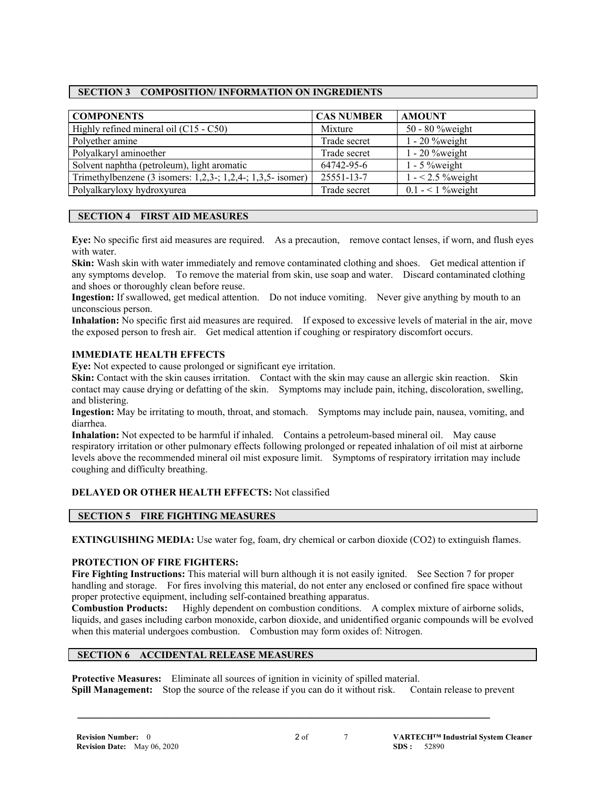#### **SECTION 3 COMPOSITION/ INFORMATION ON INGREDIENTS**

| <b>COMPONENTS</b>                                                      | <b>CAS NUMBER</b> | <b>AMOUNT</b>        |
|------------------------------------------------------------------------|-------------------|----------------------|
| Highly refined mineral oil (C15 - C50)                                 | Mixture           | 50 - 80 %weight      |
| Polyether amine                                                        | Trade secret      | $1 - 20$ % weight    |
| Polyalkaryl aminoether                                                 | Trade secret      | $1 - 20$ % weight    |
| Solvent naphtha (petroleum), light aromatic                            | 64742-95-6        | $1 - 5$ % weight     |
| Trimethylbenzene $(3$ isomers: $1,2,3$ -; $1,2,4$ -; $1,3,5$ - isomer) | 25551-13-7        | $1 - 2.5$ % weight   |
| Polyalkaryloxy hydroxyurea                                             | Trade secret      | 0.1 - $<$ 1 % weight |

#### **SECTION 4 FIRST AID MEASURES**

**Eye:** No specific first aid measures are required. As a precaution, remove contact lenses, if worn, and flush eyes with water.

**Skin:** Wash skin with water immediately and remove contaminated clothing and shoes. Get medical attention if any symptoms develop. To remove the material from skin, use soap and water. Discard contaminated clothing and shoes or thoroughly clean before reuse.

**Ingestion:** If swallowed, get medical attention. Do not induce vomiting. Never give anything by mouth to an unconscious person.

**Inhalation:** No specific first aid measures are required. If exposed to excessive levels of material in the air, move the exposed person to fresh air. Get medical attention if coughing or respiratory discomfort occurs.

#### **IMMEDIATE HEALTH EFFECTS**

**Eye:** Not expected to cause prolonged or significant eye irritation.

**Skin:** Contact with the skin causes irritation. Contact with the skin may cause an allergic skin reaction. Skin contact may cause drying or defatting of the skin. Symptoms may include pain, itching, discoloration, swelling, and blistering.

**Ingestion:** May be irritating to mouth, throat, and stomach. Symptoms may include pain, nausea, vomiting, and diarrhea.

**Inhalation:** Not expected to be harmful if inhaled. Contains a petroleum-based mineral oil. May cause respiratory irritation or other pulmonary effects following prolonged or repeated inhalation of oil mist at airborne levels above the recommended mineral oil mist exposure limit. Symptoms of respiratory irritation may include coughing and difficulty breathing.

#### **DELAYED OR OTHER HEALTH EFFECTS:** Not classified

#### **SECTION 5 FIRE FIGHTING MEASURES**

**EXTINGUISHING MEDIA:** Use water fog, foam, dry chemical or carbon dioxide (CO2) to extinguish flames.

#### **PROTECTION OF FIRE FIGHTERS:**

**Fire Fighting Instructions:** This material will burn although it is not easily ignited. See Section 7 for proper handling and storage. For fires involving this material, do not enter any enclosed or confined fire space without proper protective equipment, including self-contained breathing apparatus.

**Combustion Products:** Highly dependent on combustion conditions. A complex mixture of airborne solids, liquids, and gases including carbon monoxide, carbon dioxide, and unidentified organic compounds will be evolved when this material undergoes combustion. Combustion may form oxides of: Nitrogen.

#### **SECTION 6 ACCIDENTAL RELEASE MEASURES**

**Protective Measures:** Eliminate all sources of ignition in vicinity of spilled material. **Spill Management:** Stop the source of the release if you can do it without risk. Contain release to prevent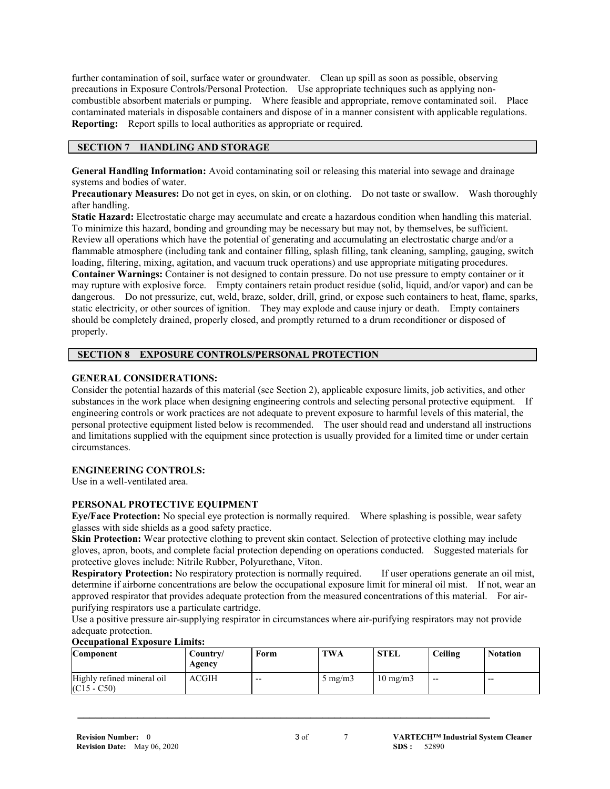further contamination of soil, surface water or groundwater. Clean up spill as soon as possible, observing precautions in Exposure Controls/Personal Protection. Use appropriate techniques such as applying noncombustible absorbent materials or pumping. Where feasible and appropriate, remove contaminated soil. Place contaminated materials in disposable containers and dispose of in a manner consistent with applicable regulations. **Reporting:** Report spills to local authorities as appropriate or required.

#### **SECTION 7 HANDLING AND STORAGE**

**General Handling Information:** Avoid contaminating soil or releasing this material into sewage and drainage systems and bodies of water.

**Precautionary Measures:** Do not get in eyes, on skin, or on clothing. Do not taste or swallow. Wash thoroughly after handling.

**Static Hazard:** Electrostatic charge may accumulate and create a hazardous condition when handling this material. To minimize this hazard, bonding and grounding may be necessary but may not, by themselves, be sufficient. Review all operations which have the potential of generating and accumulating an electrostatic charge and/or a flammable atmosphere (including tank and container filling, splash filling, tank cleaning, sampling, gauging, switch loading, filtering, mixing, agitation, and vacuum truck operations) and use appropriate mitigating procedures. **Container Warnings:** Container is not designed to contain pressure. Do not use pressure to empty container or it may rupture with explosive force. Empty containers retain product residue (solid, liquid, and/or vapor) and can be dangerous. Do not pressurize, cut, weld, braze, solder, drill, grind, or expose such containers to heat, flame, sparks, static electricity, or other sources of ignition. They may explode and cause injury or death. Empty containers should be completely drained, properly closed, and promptly returned to a drum reconditioner or disposed of properly.

#### **SECTION 8 EXPOSURE CONTROLS/PERSONAL PROTECTION**

#### **GENERAL CONSIDERATIONS:**

Consider the potential hazards of this material (see Section 2), applicable exposure limits, job activities, and other substances in the work place when designing engineering controls and selecting personal protective equipment. If engineering controls or work practices are not adequate to prevent exposure to harmful levels of this material, the personal protective equipment listed below is recommended. The user should read and understand all instructions and limitations supplied with the equipment since protection is usually provided for a limited time or under certain circumstances.

#### **ENGINEERING CONTROLS:**

Use in a well-ventilated area.

#### **PERSONAL PROTECTIVE EQUIPMENT**

**Eye/Face Protection:** No special eye protection is normally required. Where splashing is possible, wear safety glasses with side shields as a good safety practice.

**Skin Protection:** Wear protective clothing to prevent skin contact. Selection of protective clothing may include gloves, apron, boots, and complete facial protection depending on operations conducted. Suggested materials for protective gloves include: Nitrile Rubber, Polyurethane, Viton.

**Respiratory Protection:** No respiratory protection is normally required. If user operations generate an oil mist, determine if airborne concentrations are below the occupational exposure limit for mineral oil mist. If not, wear an approved respirator that provides adequate protection from the measured concentrations of this material. For airpurifying respirators use a particulate cartridge.

Use a positive pressure air-supplying respirator in circumstances where air-purifying respirators may not provide adequate protection.

| Occupational Exposure Emmis.<br><b>Component</b> | Country/<br>Agency | Form  | <b>TWA</b>       | <b>STEL</b>       | Ceiling | <b>Notation</b> |
|--------------------------------------------------|--------------------|-------|------------------|-------------------|---------|-----------------|
| Highly refined mineral oil<br>$(C15 - C50)$      | <b>ACGIH</b>       | $- -$ | $5 \text{ mg/m}$ | $10 \text{ mg/m}$ | $- -$   | $- -$           |

 **\_\_\_\_\_\_\_\_\_\_\_\_\_\_\_\_\_\_\_\_\_\_\_\_\_\_\_\_\_\_\_\_\_\_\_\_\_\_\_\_\_\_\_\_\_\_\_\_\_\_\_\_\_\_\_\_\_\_\_\_\_\_\_\_\_\_\_\_\_**

### **Occupational Exposure Limits:**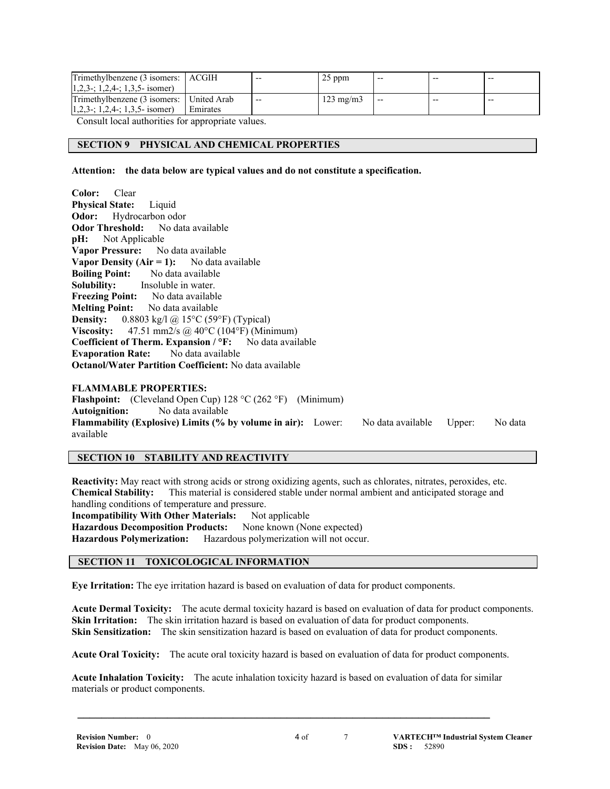| Trimethylbenzene (3 isomers:   ACGIH       |          | $- -$ | 25 ppm             | $- -$ | $- -$ | $- -$ |
|--------------------------------------------|----------|-------|--------------------|-------|-------|-------|
| $1,2,3$ -; 1,2,4-; 1,3,5- isomer)          |          |       |                    |       |       |       |
| Trimethylbenzene (3 isomers:   United Arab |          | $- -$ | $123 \text{ mg/m}$ | $- -$ | $- -$ | $- -$ |
| $[1,2,3-; 1,2,4-; 1,3,5-$ isomer)          | Emirates |       |                    |       |       |       |

Consult local authorities for appropriate values.

#### **SECTION 9 PHYSICAL AND CHEMICAL PROPERTIES**

**Attention: the data below are typical values and do not constitute a specification.**

**Color:** Clear **Physical State:** Liquid **Odor:** Hydrocarbon odor **Odor Threshold:** No data available **pH:** Not Applicable **Vapor Pressure:** No data available **Vapor Density (Air = 1):** No data available **Boiling Point:** No data available **Solubility:** Insoluble in water. **Freezing Point:** No data available **Melting Point:** No data available **Density:** 0.8803 kg/l @ 15°C (59°F) (Typical) **Viscosity:** 47.51 mm2/s @ 40°C (104°F) (Minimum) **Coefficient of Therm. Expansion / °F:** No data available **Evaporation Rate:** No data available **Octanol/Water Partition Coefficient:** No data available **FLAMMABLE PROPERTIES:**

**Flashpoint:** (Cleveland Open Cup) 128 °C (262 °F) (Minimum) **Autoignition:** No data available **Flammability (Explosive) Limits (% by volume in air):** Lower: No data available Upper: No data available

#### **SECTION 10 STABILITY AND REACTIVITY**

**Reactivity:** May react with strong acids or strong oxidizing agents, such as chlorates, nitrates, peroxides, etc. **Chemical Stability:** This material is considered stable under normal ambient and anticipated storage and handling conditions of temperature and pressure. **Incompatibility With Other Materials:** Not applicable<br>**Hazardous Decomposition Products:** None known (None expected) **Hazardous Decomposition Products: Hazardous Polymerization:** Hazardous polymerization will not occur.

#### **SECTION 11 TOXICOLOGICAL INFORMATION**

**Eye Irritation:** The eye irritation hazard is based on evaluation of data for product components.

**Acute Dermal Toxicity:** The acute dermal toxicity hazard is based on evaluation of data for product components. **Skin Irritation:** The skin irritation hazard is based on evaluation of data for product components. **Skin Sensitization:** The skin sensitization hazard is based on evaluation of data for product components.

**Acute Oral Toxicity:** The acute oral toxicity hazard is based on evaluation of data for product components.

**Acute Inhalation Toxicity:** The acute inhalation toxicity hazard is based on evaluation of data for similar materials or product components.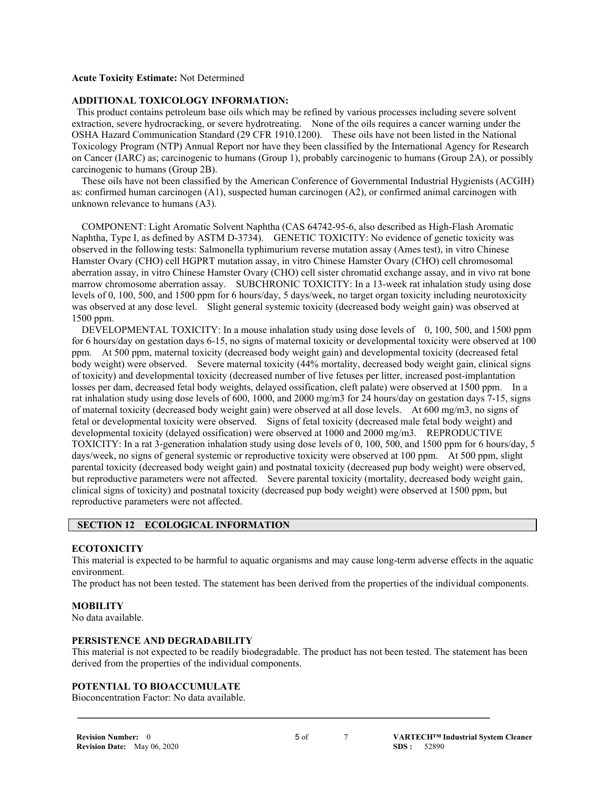#### **Acute Toxicity Estimate:** Not Determined

#### **ADDITIONAL TOXICOLOGY INFORMATION:**

This product contains petroleum base oils which may be refined by various processes including severe solvent extraction, severe hydrocracking, or severe hydrotreating. None of the oils requires a cancer warning under the OSHA Hazard Communication Standard (29 CFR 1910.1200). These oils have not been listed in the National Toxicology Program (NTP) Annual Report nor have they been classified by the International Agency for Research on Cancer (IARC) as; carcinogenic to humans (Group 1), probably carcinogenic to humans (Group 2A), or possibly carcinogenic to humans (Group 2B).

 These oils have not been classified by the American Conference of Governmental Industrial Hygienists (ACGIH) as: confirmed human carcinogen (A1), suspected human carcinogen (A2), or confirmed animal carcinogen with unknown relevance to humans (A3).

 COMPONENT: Light Aromatic Solvent Naphtha (CAS 64742-95-6, also described as High-Flash Aromatic Naphtha, Type I, as defined by ASTM D-3734). GENETIC TOXICITY: No evidence of genetic toxicity was observed in the following tests: Salmonella typhimurium reverse mutation assay (Ames test), in vitro Chinese Hamster Ovary (CHO) cell HGPRT mutation assay, in vitro Chinese Hamster Ovary (CHO) cell chromosomal aberration assay, in vitro Chinese Hamster Ovary (CHO) cell sister chromatid exchange assay, and in vivo rat bone marrow chromosome aberration assay. SUBCHRONIC TOXICITY: In a 13-week rat inhalation study using dose levels of 0, 100, 500, and 1500 ppm for 6 hours/day, 5 days/week, no target organ toxicity including neurotoxicity was observed at any dose level. Slight general systemic toxicity (decreased body weight gain) was observed at 1500 ppm.

DEVELOPMENTAL TOXICITY: In a mouse inhalation study using dose levels of 0, 100, 500, and 1500 ppm for 6 hours/day on gestation days 6-15, no signs of maternal toxicity or developmental toxicity were observed at 100 ppm. At 500 ppm, maternal toxicity (decreased body weight gain) and developmental toxicity (decreased fetal body weight) were observed. Severe maternal toxicity (44% mortality, decreased body weight gain, clinical signs of toxicity) and developmental toxicity (decreased number of live fetuses per litter, increased post-implantation losses per dam, decreased fetal body weights, delayed ossification, cleft palate) were observed at 1500 ppm. In a rat inhalation study using dose levels of 600, 1000, and 2000 mg/m3 for 24 hours/day on gestation days 7-15, signs of maternal toxicity (decreased body weight gain) were observed at all dose levels. At 600 mg/m3, no signs of fetal or developmental toxicity were observed. Signs of fetal toxicity (decreased male fetal body weight) and developmental toxicity (delayed ossification) were observed at 1000 and 2000 mg/m3. REPRODUCTIVE TOXICITY: In a rat 3-generation inhalation study using dose levels of 0, 100, 500, and 1500 ppm for 6 hours/day, 5 days/week, no signs of general systemic or reproductive toxicity were observed at 100 ppm. At 500 ppm, slight parental toxicity (decreased body weight gain) and postnatal toxicity (decreased pup body weight) were observed, but reproductive parameters were not affected. Severe parental toxicity (mortality, decreased body weight gain, clinical signs of toxicity) and postnatal toxicity (decreased pup body weight) were observed at 1500 ppm, but reproductive parameters were not affected.

#### **SECTION 12 ECOLOGICAL INFORMATION**

#### **ECOTOXICITY**

This material is expected to be harmful to aquatic organisms and may cause long-term adverse effects in the aquatic environment.

The product has not been tested. The statement has been derived from the properties of the individual components.

#### **MOBILITY**

No data available.

#### **PERSISTENCE AND DEGRADABILITY**

This material is not expected to be readily biodegradable. The product has not been tested. The statement has been derived from the properties of the individual components.

 **\_\_\_\_\_\_\_\_\_\_\_\_\_\_\_\_\_\_\_\_\_\_\_\_\_\_\_\_\_\_\_\_\_\_\_\_\_\_\_\_\_\_\_\_\_\_\_\_\_\_\_\_\_\_\_\_\_\_\_\_\_\_\_\_\_\_\_\_\_**

#### **POTENTIAL TO BIOACCUMULATE**

Bioconcentration Factor: No data available.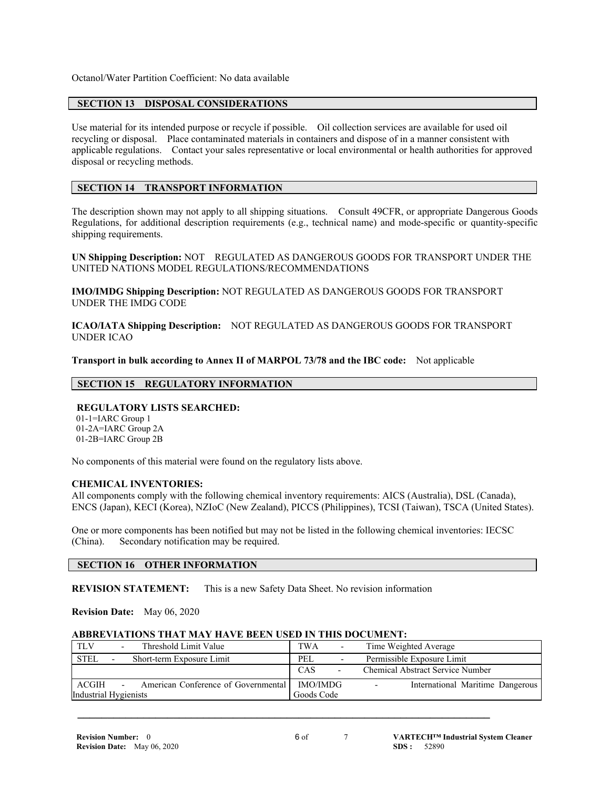Octanol/Water Partition Coefficient: No data available

#### **SECTION 13 DISPOSAL CONSIDERATIONS**

Use material for its intended purpose or recycle if possible. Oil collection services are available for used oil recycling or disposal. Place contaminated materials in containers and dispose of in a manner consistent with applicable regulations. Contact your sales representative or local environmental or health authorities for approved disposal or recycling methods.

#### **SECTION 14 TRANSPORT INFORMATION**

The description shown may not apply to all shipping situations. Consult 49CFR, or appropriate Dangerous Goods Regulations, for additional description requirements (e.g., technical name) and mode-specific or quantity-specific shipping requirements.

**UN Shipping Description:** NOT REGULATED AS DANGEROUS GOODS FOR TRANSPORT UNDER THE UNITED NATIONS MODEL REGULATIONS/RECOMMENDATIONS

**IMO/IMDG Shipping Description:** NOT REGULATED AS DANGEROUS GOODS FOR TRANSPORT UNDER THE IMDG CODE

**ICAO/IATA Shipping Description:** NOT REGULATED AS DANGEROUS GOODS FOR TRANSPORT UNDER ICAO

**Transport in bulk according to Annex II of MARPOL 73/78 and the IBC code:** Not applicable

#### **SECTION 15 REGULATORY INFORMATION**

#### **REGULATORY LISTS SEARCHED:**

 01-1=IARC Group 1 01-2A=IARC Group 2A 01-2B=IARC Group 2B

No components of this material were found on the regulatory lists above.

#### **CHEMICAL INVENTORIES:**

All components comply with the following chemical inventory requirements: AICS (Australia), DSL (Canada), ENCS (Japan), KECI (Korea), NZIoC (New Zealand), PICCS (Philippines), TCSI (Taiwan), TSCA (United States).

One or more components has been notified but may not be listed in the following chemical inventories: IECSC (China). Secondary notification may be required.

#### **SECTION 16 OTHER INFORMATION**

**REVISION STATEMENT:** This is a new Safety Data Sheet. No revision information

**Revision Date:** May 06, 2020

#### **ABBREVIATIONS THAT MAY HAVE BEEN USED IN THIS DOCUMENT:**

| <b>TLV</b><br>Threshold Limit Value                                  | <b>TWA</b><br>۰                 | Time Weighted Average                                        |
|----------------------------------------------------------------------|---------------------------------|--------------------------------------------------------------|
| <b>STEL</b><br>Short-term Exposure Limit<br>$\overline{\phantom{a}}$ | PEL<br>۰                        | Permissible Exposure Limit                                   |
|                                                                      | CAS<br>$\overline{\phantom{a}}$ | <b>Chemical Abstract Service Number</b>                      |
| ACGIH<br>American Conference of Governmental                         | IMO/IMDG                        | International Maritime Dangerous<br>$\overline{\phantom{0}}$ |
| Industrial Hygienists                                                | Goods Code                      |                                                              |